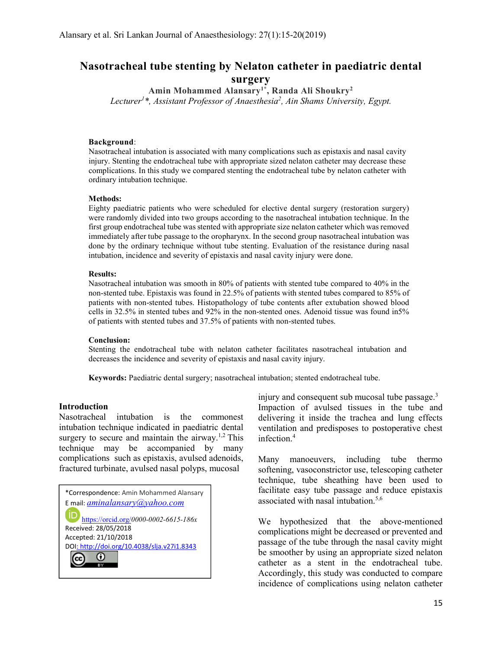# Nasotracheal tube stenting by Nelaton catheter in paediatric dental surgery

Amin Mohammed Alansary1\*, Randa Ali Shoukry<sup>2</sup> Lecturer<sup>1\*</sup>, Assistant Professor of Anaesthesia<sup>2</sup>, Ain Shams University, Egypt.

#### Background:

Nasotracheal intubation is associated with many complications such as epistaxis and nasal cavity injury. Stenting the endotracheal tube with appropriate sized nelaton catheter may decrease these complications. In this study we compared stenting the endotracheal tube by nelaton catheter with ordinary intubation technique.

#### Methods:

Eighty paediatric patients who were scheduled for elective dental surgery (restoration surgery) were randomly divided into two groups according to the nasotracheal intubation technique. In the first group endotracheal tube was stented with appropriate size nelaton catheter which was removed immediately after tube passage to the oropharynx. In the second group nasotracheal intubation was done by the ordinary technique without tube stenting. Evaluation of the resistance during nasal intubation, incidence and severity of epistaxis and nasal cavity injury were done.

#### Results:

Nasotracheal intubation was smooth in 80% of patients with stented tube compared to 40% in the non-stented tube. Epistaxis was found in 22.5% of patients with stented tubes compared to 85% of patients with non-stented tubes. Histopathology of tube contents after extubation showed blood cells in 32.5% in stented tubes and 92% in the non-stented ones. Adenoid tissue was found in5% of patients with stented tubes and 37.5% of patients with non-stented tubes.

#### Conclusion:

Stenting the endotracheal tube with nelaton catheter facilitates nasotracheal intubation and decreases the incidence and severity of epistaxis and nasal cavity injury.

Keywords: Paediatric dental surgery; nasotracheal intubation; stented endotracheal tube.

## Introduction

Nasotracheal intubation is the commonest intubation technique indicated in paediatric dental surgery to secure and maintain the airway.<sup>1,2</sup> This technique may be accompanied by many complications such as epistaxis, avulsed adenoids, fractured turbinate, avulsed nasal polyps, mucosal

| *Correspondence: Amin Mohammed Alansary                       |
|---------------------------------------------------------------|
| E mail: <i>aminalansary@yahoo.com</i>                         |
| https://orcid.org/0000-0002-6615-186x<br>Received: 28/05/2018 |
| Accepted: 21/10/2018                                          |
| DOI: http://doi.org/10.4038/slja.v27i1.8343                   |
|                                                               |
|                                                               |

injury and consequent sub mucosal tube passage. $3$ Impaction of avulsed tissues in the tube and delivering it inside the trachea and lung effects ventilation and predisposes to postoperative chest infection.<sup>4</sup>

Many manoeuvers, including tube thermo softening, vasoconstrictor use, telescoping catheter technique, tube sheathing have been used to facilitate easy tube passage and reduce epistaxis associated with nasal intubation.<sup>5,6</sup>

We hypothesized that the above-mentioned complications might be decreased or prevented and passage of the tube through the nasal cavity might be smoother by using an appropriate sized nelaton catheter as a stent in the endotracheal tube. Accordingly, this study was conducted to compare incidence of complications using nelaton catheter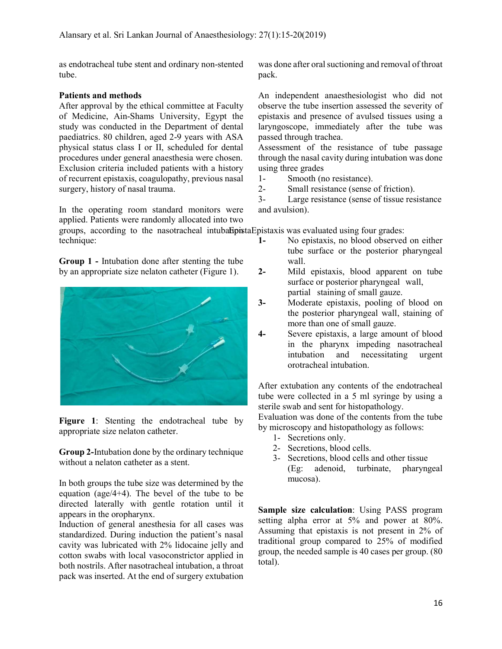as endotracheal tube stent and ordinary non-stented tube.

## Patients and methods

After approval by the ethical committee at Faculty of Medicine, Ain-Shams University, Egypt the study was conducted in the Department of dental paediatrics. 80 children, aged 2-9 years with ASA physical status class I or II, scheduled for dental procedures under general anaesthesia were chosen. Exclusion criteria included patients with a history of recurrent epistaxis, coagulopathy, previous nasal surgery, history of nasal trauma.

In the operating room standard monitors were applied. Patients were randomly allocated into two groups, according to the nasotracheal intubalistation and evaluated using four grades:

technique: Group 1 - Intubation done after stenting the tube

by an appropriate size nelaton catheter (Figure 1).

Figure 1: Stenting the endotracheal tube by appropriate size nelaton catheter.

Group 2-Intubation done by the ordinary technique without a nelaton catheter as a stent.

In both groups the tube size was determined by the equation (age/4+4). The bevel of the tube to be directed laterally with gentle rotation until it appears in the oropharynx.

Induction of general anesthesia for all cases was standardized. During induction the patient's nasal cavity was lubricated with 2% lidocaine jelly and cotton swabs with local vasoconstrictor applied in both nostrils. After nasotracheal intubation, a throat pack was inserted. At the end of surgery extubation was done after oral suctioning and removal of throat pack.

An independent anaesthesiologist who did not observe the tube insertion assessed the severity of epistaxis and presence of avulsed tissues using a laryngoscope, immediately after the tube was passed through trachea.

Assessment of the resistance of tube passage through the nasal cavity during intubation was done using three grades

- 1- Smooth (no resistance).
- 2- Small resistance (sense of friction).

3- Large resistance (sense of tissue resistance and avulsion).

1- No epistaxis, no blood observed on either tube surface or the posterior pharyngeal wall.

- 2- Mild epistaxis, blood apparent on tube surface or posterior pharyngeal wall, partial staining of small gauze.
- 3- Moderate epistaxis, pooling of blood on the posterior pharyngeal wall, staining of more than one of small gauze.
- 4- Severe epistaxis, a large amount of blood in the pharynx impeding nasotracheal intubation and necessitating urgent orotracheal intubation.

After extubation any contents of the endotracheal tube were collected in a 5 ml syringe by using a sterile swab and sent for histopathology.

Evaluation was done of the contents from the tube by microscopy and histopathology as follows:

- 1- Secretions only.
- 2- Secretions, blood cells.
- 3- Secretions, blood cells and other tissue (Eg: adenoid, turbinate, pharyngeal mucosa).

Sample size calculation: Using PASS program setting alpha error at 5% and power at 80%. Assuming that epistaxis is not present in 2% of traditional group compared to 25% of modified group, the needed sample is 40 cases per group. (80 total).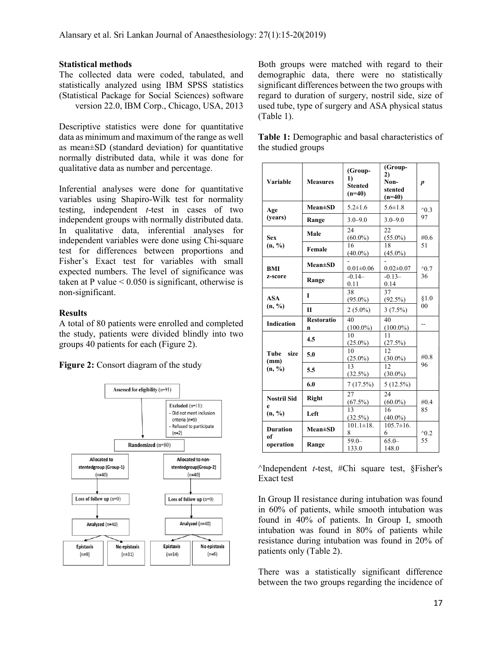## Statistical methods

The collected data were coded, tabulated, and statistically analyzed using IBM SPSS statistics (Statistical Package for Social Sciences) software version 22.0, IBM Corp., Chicago, USA, 2013

Descriptive statistics were done for quantitative data as minimum and maximum of the range as well as mean±SD (standard deviation) for quantitative normally distributed data, while it was done for qualitative data as number and percentage.

Inferential analyses were done for quantitative variables using Shapiro-Wilk test for normality testing, independent  $t$ -test in cases of two independent groups with normally distributed data. In qualitative data, inferential analyses for independent variables were done using Chi-square test for differences between proportions and Fisher's Exact test for variables with small expected numbers. The level of significance was taken at P value  $\leq 0.050$  is significant, otherwise is non-significant.

## **Results**

A total of 80 patients were enrolled and completed the study, patients were divided blindly into two groups 40 patients for each (Figure 2).

Figure 2: Consort diagram of the study



Both groups were matched with regard to their demographic data, there were no statistically significant differences between the two groups with regard to duration of surgery, nostril side, size of used tube, type of surgery and ASA physical status (Table 1).

| Table 1: Demographic and basal characteristics of |  |  |
|---------------------------------------------------|--|--|
| the studied groups                                |  |  |

| Variable                       | <b>Measures</b>        | (Group-<br>1)<br><b>Stented</b><br>$(n=40)$ | (Group-<br>2)<br>Non-<br>stented<br>$(n=40)$ | $\boldsymbol{p}$ |  |
|--------------------------------|------------------------|---------------------------------------------|----------------------------------------------|------------------|--|
| Age                            | $Mean \pm SD$          | $5.2 \pm 1.6$                               | $5.6 \pm 1.8$                                | $^{\wedge}0.3$   |  |
| (years)                        | Range                  | $3.0 - 9.0$                                 | $3.0 - 9.0$                                  | 97               |  |
| <b>Sex</b>                     | Male                   | 24<br>$(60.0\%)$                            | 22<br>$(55.0\%)$                             | #0.6             |  |
| (n, %)                         | Female                 | 16<br>$(40.0\%)$                            | 18<br>$(45.0\%)$                             | 51               |  |
| <b>BMI</b>                     | $Mean \pm SD$          | $0.01 \pm 0.06$                             | $0.02 \pm 0.07$                              | $^{\wedge}0.7$   |  |
| z-score                        | Range                  | $-0.14-$<br>0.11                            | $-0.13-$<br>0.14                             | 36               |  |
| <b>ASA</b><br>(n, %)           | T                      | 38<br>$(95.0\%)$                            | $\overline{37}$<br>$(92.5\%)$                | \$1.0            |  |
|                                | $\mathbf{I}$           | $2(5.0\%)$                                  | $3(7.5\%)$                                   | 0 <sub>0</sub>   |  |
| <b>Indication</b>              | <b>Restoratio</b><br>n | 40<br>$(100.0\%)$                           | 40<br>$(100.0\%)$                            | --               |  |
|                                | 4.5                    | 10<br>$(25.0\%)$                            | 11<br>$(27.5\%)$                             |                  |  |
| size<br>Tube<br>(mm)<br>(n, %) | 5.0                    | 10<br>$(25.0\%)$                            | 12<br>$(30.0\%)$                             | #0.8             |  |
|                                | 5.5                    | 13<br>$(32.5\%)$                            | 12.<br>$(30.0\%)$                            | 96               |  |
|                                | 6.0                    | 7(17.5%)                                    | $5(12.5\%)$                                  |                  |  |
| <b>Nostril Sid</b>             | <b>Right</b>           | 27<br>$\frac{(67.5\%)}{13}$                 | 24<br>$(60.0\%)$                             | #0.4             |  |
| e<br>(n, %)                    | Left                   |                                             | 16<br>$(40.0\%)$                             | 85               |  |
| <b>Duration</b>                | $Mean \pm SD$          | $\frac{(32.5\%)}{101.1\pm18.}$<br>8         | $105.7 \pm 16.$<br>6                         | $^{\wedge}0.2$   |  |
| of<br>operation                | Range                  | $59.0 -$<br>133.0                           | $65.0 -$<br>148.0                            | 55               |  |

 $\land$ Independent t-test, #Chi square test, §Fisher's Exact test

In Group II resistance during intubation was found in 60% of patients, while smooth intubation was found in 40% of patients. In Group I, smooth intubation was found in 80% of patients while resistance during intubation was found in 20% of patients only (Table 2).

There was a statistically significant difference between the two groups regarding the incidence of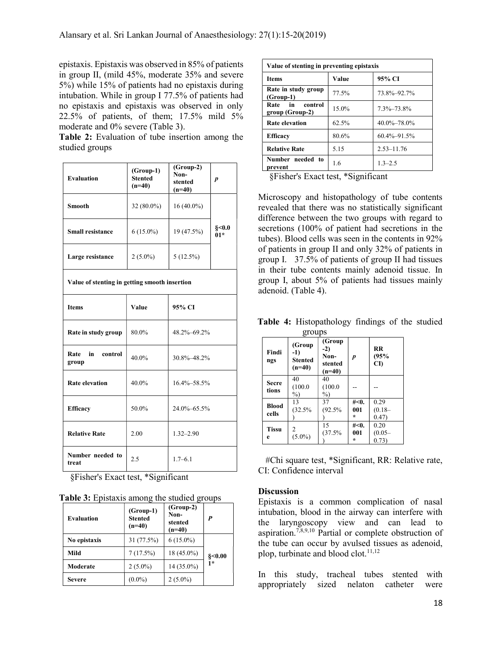epistaxis. Epistaxis was observed in 85% of patients in group II, (mild 45%, moderate 35% and severe 5%) while 15% of patients had no epistaxis during intubation. While in group I 77.5% of patients had no epistaxis and epistaxis was observed in only 22.5% of patients, of them; 17.5% mild 5% moderate and 0% severe (Table 3).

Table 2: Evaluation of tube insertion among the studied groups

| <b>Evaluation</b>                             | $(Group-1)$<br><b>Stented</b><br>$(n=40)$ | $(Group-2)$<br>Non-<br>stented<br>$(n=40)$ | p              |
|-----------------------------------------------|-------------------------------------------|--------------------------------------------|----------------|
| <b>Smooth</b>                                 | 32 (80.0%)                                | $16(40.0\%)$                               |                |
| <b>Small resistance</b>                       | $6(15.0\%)$                               | 19 (47.5%)                                 | §<0.0<br>$01*$ |
| Large resistance                              | $2(5.0\%)$                                | 5(12.5%)                                   |                |
| Value of stenting in getting smooth insertion |                                           |                                            |                |
| <b>Items</b>                                  | Value                                     | 95% CI                                     |                |
| Rate in study group                           | 80.0%                                     | 48.2%-69.2%                                |                |
| Rate in<br>control<br>group                   | 40.0%                                     | 30.8%-48.2%                                |                |
| <b>Rate elevation</b>                         | 40.0%                                     | 16.4%-58.5%                                |                |
| <b>Efficacy</b>                               | 50.0%                                     | 24.0%-65.5%                                |                |
| <b>Relative Rate</b>                          | 2.00                                      | $1.32 - 2.90$                              |                |
| Number needed to<br>treat                     | 2.5                                       | $1.7 - 6.1$                                |                |

§Fisher's Exact test, \*Significant

|  |  |  | <b>Table 3:</b> Epistaxis among the studied groups |  |  |
|--|--|--|----------------------------------------------------|--|--|
|--|--|--|----------------------------------------------------|--|--|

| <b>Evaluation</b> | $(Group-1)$<br><b>Stented</b><br>$(n=40)$ | $(Group-2)$<br>Non-<br>stented<br>$(n=40)$ | $\boldsymbol{P}$       |
|-------------------|-------------------------------------------|--------------------------------------------|------------------------|
| No epistaxis      | 31 (77.5%)                                | $6(15.0\%)$                                |                        |
| Mild              | 7(17.5%)                                  | 18 (45.0%)                                 | $\frac{$}{\\8}$ < 0.00 |
| Moderate          | $2(5.0\%)$                                | 14 (35.0%)                                 | 1*                     |
| Severe            | $(0.0\%)$                                 | $2(5.0\%)$                                 |                        |

| Value of stenting in preventing epistaxis |       |                   |  |  |
|-------------------------------------------|-------|-------------------|--|--|
| <b>Items</b>                              | Value | 95% CI            |  |  |
| Rate in study group<br>$(Group-1)$        | 77.5% | 73.8%-92.7%       |  |  |
| Rate in<br>control<br>group (Group-2)     | 15.0% | 7.3%-73.8%        |  |  |
| <b>Rate elevation</b>                     | 62.5% | 40.0%-78.0%       |  |  |
| <b>Efficacy</b>                           | 80.6% | $60.4\% - 91.5\%$ |  |  |
| <b>Relative Rate</b>                      | 5.15  | $2.53 - 11.76$    |  |  |
| Number needed to<br>prevent               | 1.6   | $1.3 - 2.5$       |  |  |

§Fisher's Exact test, \*Significant

Microscopy and histopathology of tube contents revealed that there was no statistically significant difference between the two groups with regard to secretions (100% of patient had secretions in the tubes). Blood cells was seen in the contents in 92% of patients in group II and only 32% of patients in group I. 37.5% of patients of group II had tissues in their tube contents mainly adenoid tissue. In group I, about 5% of patients had tissues mainly adenoid. (Table 4).

Table 4: Histopathology findings of the studied  $q$ 

|                       | gruups                                        |                                                |                        |                            |
|-----------------------|-----------------------------------------------|------------------------------------------------|------------------------|----------------------------|
| Findi<br>ngs          | (Group<br>$-1)$<br><b>Stented</b><br>$(n=40)$ | (Group<br>$-2)$<br>Non-<br>stented<br>$(n=40)$ | $\boldsymbol{p}$       | RR<br>(95%<br>CD           |
| <b>Secre</b><br>tions | 40<br>(100.0)<br>$\%$                         | 40<br>(100.0)<br>$\%$                          |                        |                            |
| <b>Blood</b><br>cells | 13<br>(32.5%                                  | 37<br>(92.5%                                   | #<0.<br>001<br>$\star$ | 0.29<br>$(0.18 -$<br>0.47) |
| <b>Tissu</b><br>e     | $(5.0\%)$                                     | 15<br>(37.5%                                   | #<0.<br>001<br>$\star$ | 0.20<br>$(0.05 -$<br>0.73) |

#Chi square test, \*Significant, RR: Relative rate, CI: Confidence interval

# **Discussion**

Epistaxis is a common complication of nasal intubation, blood in the airway can interfere with the laryngoscopy view and can lead to aspiration.<sup>7,8,9,10</sup> Partial or complete obstruction of the tube can occur by avulsed tissues as adenoid, plop, turbinate and blood clot. $11,12$ 

In this study, tracheal tubes stented with appropriately sized nelaton catheter were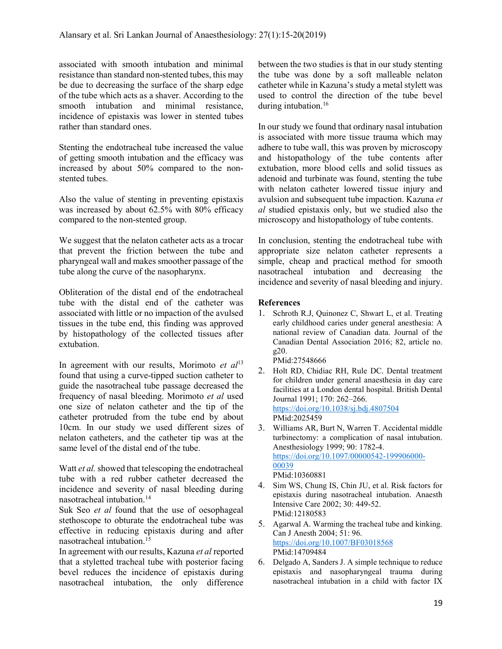associated with smooth intubation and minimal resistance than standard non-stented tubes, this may be due to decreasing the surface of the sharp edge of the tube which acts as a shaver. According to the smooth intubation and minimal resistance, incidence of epistaxis was lower in stented tubes rather than standard ones.

Stenting the endotracheal tube increased the value of getting smooth intubation and the efficacy was increased by about 50% compared to the nonstented tubes.

Also the value of stenting in preventing epistaxis was increased by about 62.5% with 80% efficacy compared to the non-stented group.

We suggest that the nelaton catheter acts as a trocar that prevent the friction between the tube and pharyngeal wall and makes smoother passage of the tube along the curve of the nasopharynx.

Obliteration of the distal end of the endotracheal tube with the distal end of the catheter was associated with little or no impaction of the avulsed tissues in the tube end, this finding was approved by histopathology of the collected tissues after extubation.

In agreement with our results, Morimoto et  $al<sup>13</sup>$ found that using a curve-tipped suction catheter to guide the nasotracheal tube passage decreased the frequency of nasal bleeding. Morimoto et al used one size of nelaton catheter and the tip of the catheter protruded from the tube end by about 10cm. In our study we used different sizes of nelaton catheters, and the catheter tip was at the same level of the distal end of the tube.

Watt *et al.* showed that telescoping the endotracheal tube with a red rubber catheter decreased the incidence and severity of nasal bleeding during nasotracheal intubation.<sup>14</sup>

Suk Seo et al found that the use of oesophageal stethoscope to obturate the endotracheal tube was effective in reducing epistaxis during and after nasotracheal intubation.<sup>15</sup>

In agreement with our results, Kazuna et al reported that a styletted tracheal tube with posterior facing bevel reduces the incidence of epistaxis during nasotracheal intubation, the only difference

between the two studies is that in our study stenting the tube was done by a soft malleable nelaton catheter while in Kazuna's study a metal stylett was used to control the direction of the tube bevel during intubation.<sup>16</sup>

In our study we found that ordinary nasal intubation is associated with more tissue trauma which may adhere to tube wall, this was proven by microscopy and histopathology of the tube contents after extubation, more blood cells and solid tissues as adenoid and turbinate was found, stenting the tube with nelaton catheter lowered tissue injury and avulsion and subsequent tube impaction. Kazuna et al studied epistaxis only, but we studied also the microscopy and histopathology of tube contents.

In conclusion, stenting the endotracheal tube with appropriate size nelaton catheter represents a simple, cheap and practical method for smooth nasotracheal intubation and decreasing the incidence and severity of nasal bleeding and injury.

## References

1. Schroth R.J, Quinonez C, Shwart L, et al. Treating early childhood caries under general anesthesia: A national review of Canadian data. Journal of the Canadian Dental Association 2016; 82, article no. g20.

PMid:27548666

- 2. Holt RD, Chidiac RH, Rule DC. Dental treatment for children under general anaesthesia in day care facilities at a London dental hospital. British Dental Journal 1991; 170: 262–266. https://doi.org/10.1038/sj.bdj.4807504 PMid:2025459
- 3. Williams AR, Burt N, Warren T. Accidental middle turbinectomy: a complication of nasal intubation. Anesthesiology 1999; 90: 1782-4. https://doi.org/10.1097/00000542-199906000- 00039 PMid:10360881
- 4. Sim WS, Chung IS, Chin JU, et al. Risk factors for epistaxis during nasotracheal intubation. Anaesth Intensive Care 2002; 30: 449-52. PMid:12180583
- 5. Agarwal A. Warming the tracheal tube and kinking. Can J Anesth 2004; 51: 96. https://doi.org/10.1007/BF03018568 PMid:14709484
- 6. Delgado A, Sanders J. A simple technique to reduce epistaxis and nasopharyngeal trauma during nasotracheal intubation in a child with factor IX